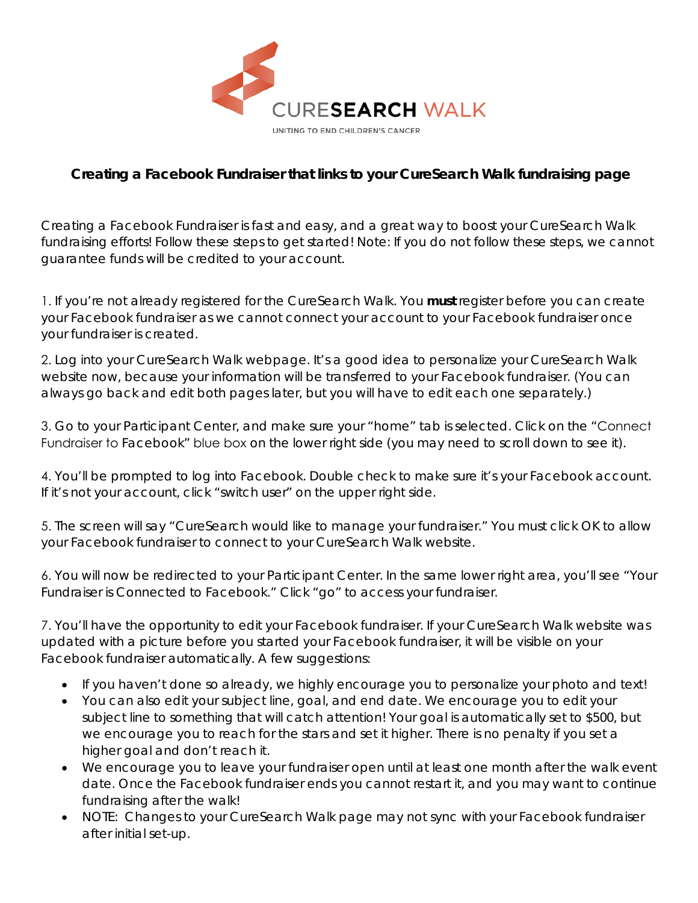

## **Creating a Facebook Fundraiser that links to your CureSearch Walk fundraising page**

Creating a Facebook Fundraiser is fast and easy, and a great way to boost your CureSearch Walk fundraising efforts! Follow these steps to get started! *Note: If you do not follow these steps, we cannot guarantee funds will be credited to your account.* 

1. If you're not already registered for the CureSearch Walk. You **must** register before you can create your Facebook fundraiser as we cannot connect your account to your Facebook fundraiser once your fundraiser is created.

2. Log into your CureSearch Walk webpage. It's a good idea to personalize your CureSearch Walk website now, because your information will be transferred to your Facebook fundraiser. (You can always go back and edit both pages later, but you will have to edit each one separately.)

3. Go to your Participant Center, and make sure your "home" tab is selected. Click on the "Connect Fundraiser to Facebook" blue box on the lower right side (you may need to scroll down to see it).

4. You'll be prompted to log into Facebook. Double check to make sure it's your Facebook account. If it's not your account, click "switch user" on the upper right side.

5. The screen will say "CureSearch would like to manage your fundraiser." You must click OK to allow your Facebook fundraiser to connect to your CureSearch Walk website.

6. You will now be redirected to your Participant Center. In the same lower right area, you'll see "Your Fundraiser is Connected to Facebook." Click "go" to access your fundraiser.

7. You'll have the opportunity to edit your Facebook fundraiser. If your CureSearch Walk website was updated with a picture before you started your Facebook fundraiser, it will be visible on your Facebook fundraiser automatically. A few suggestions:

- If you haven't done so already, we highly encourage you to personalize your photo and text!
- You can also edit your subject line, goal, and end date. We encourage you to edit your subject line to something that will catch attention! Your goal is automatically set to \$500, but we encourage you to reach for the stars and set it higher. There is no penalty if you set a higher goal and don't reach it.
- We encourage you to leave your fundraiser open until at least one month after the walk event date. Once the Facebook fundraiser ends you cannot restart it, and you may want to continue fundraising after the walk!
- NOTE: Changes to your CureSearch Walk page may not sync with your Facebook fundraiser after initial set-up.